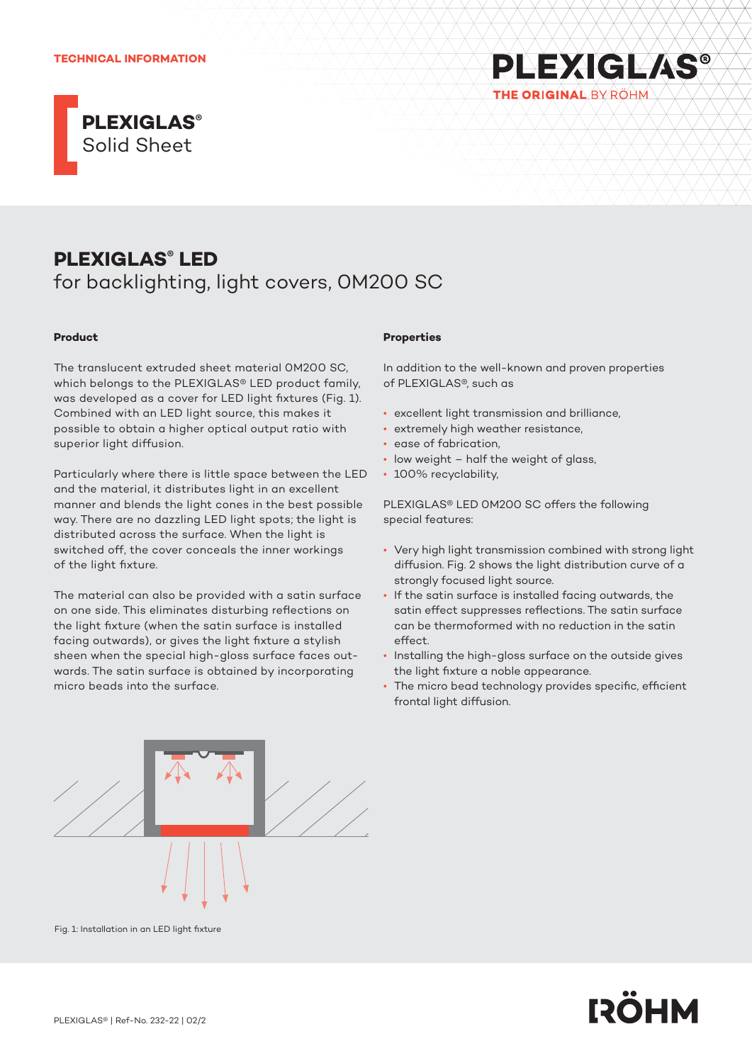## **TECHNICAL INFORMATION**





# **PLEXIGLAS® LED**

for backlighting, light covers, 0M200 SC

## **Product**

The translucent extruded sheet material 0M200 SC, which belongs to the PLEXIGLAS® LED product family, was developed as a cover for LED light fixtures (Fig. 1). Combined with an LED light source, this makes it possible to obtain a higher optical output ratio with superior light diffusion.

Particularly where there is little space between the LED and the material, it distributes light in an excellent manner and blends the light cones in the best possible way. There are no dazzling LED light spots; the light is distributed across the surface. When the light is switched off, the cover conceals the inner workings of the light fixture.

The material can also be provided with a satin surface on one side. This eliminates disturbing reflections on the light fixture (when the satin surface is installed facing outwards), or gives the light fixture a stylish sheen when the special high-gloss surface faces outwards. The satin surface is obtained by incorporating micro beads into the surface.

#### **Properties**

In addition to the well-known and proven properties of PLEXIGLAS®, such as

- excellent light transmission and brilliance,
- extremely high weather resistance,
- ease of fabrication,
- low weight half the weight of glass,
- 100% recyclability,

PLEXIGLAS® LED 0M200 SC offers the following special features:

- Very high light transmission combined with strong light diffusion. Fig. 2 shows the light distribution curve of a strongly focused light source.
- If the satin surface is installed facing outwards, the satin effect suppresses reflections. The satin surface can be thermoformed with no reduction in the satin effect.
- Installing the high-gloss surface on the outside gives the light fixture a noble appearance.
- The micro bead technology provides specific, efficient frontal light diffusion.



Fig. 1: Installation in an LED light fixture

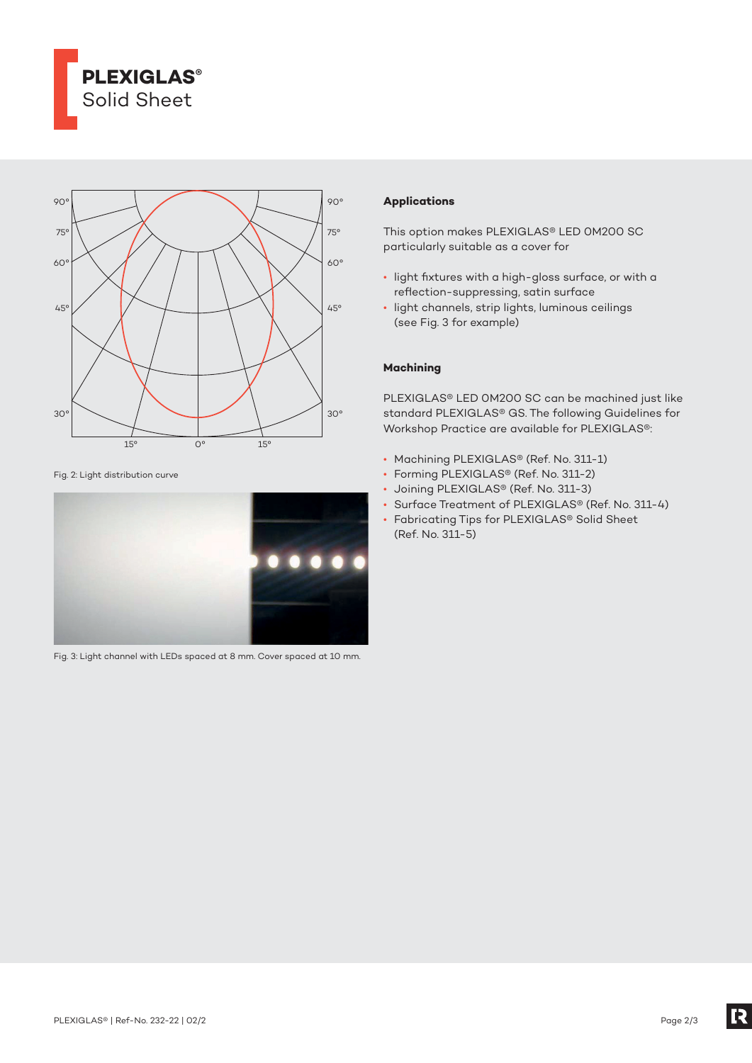



Fig. 2: Light distribution curve



Fig. 3: Light channel with LEDs spaced at 8 mm. Cover spaced at 10 mm.

## **Applications**

This option makes PLEXIGLAS® LED 0M200 SC particularly suitable as a cover for

- light fixtures with a high-gloss surface, or with a reflection-suppressing, satin surface
- light channels, strip lights, luminous ceilings (see Fig. 3 for example)

# **Machining**

PLEXIGLAS® LED 0M200 SC can be machined just like standard PLEXIGLAS® GS. The following Guidelines for Workshop Practice are available for PLEXIGLAS®:

- Machining PLEXIGLAS® (Ref. No. 311-1)
- Forming PLEXIGLAS® (Ref. No. 311-2)
- Joining PLEXIGLAS® (Ref. No. 311-3)
- Surface Treatment of PLEXIGLAS® (Ref. No. 311-4)
- Fabricating Tips for PLEXIGLAS® Solid Sheet (Ref. No. 311-5)

R